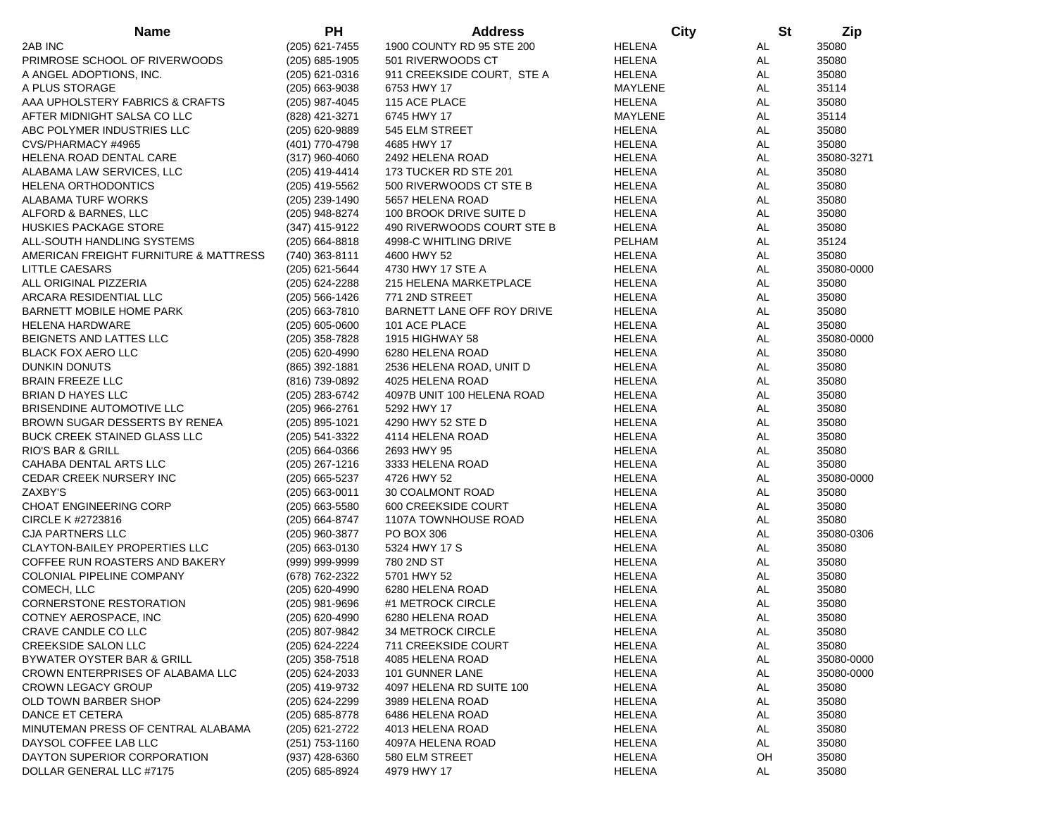| <b>Name</b>                                                         | <b>PH</b>                          | <b>Address</b>                  | City                           | <b>St</b> | Zip            |
|---------------------------------------------------------------------|------------------------------------|---------------------------------|--------------------------------|-----------|----------------|
| 2AB INC                                                             | (205) 621-7455                     | 1900 COUNTY RD 95 STE 200       | <b>HELENA</b>                  | AL        | 35080          |
| PRIMROSE SCHOOL OF RIVERWOODS                                       | $(205)$ 685-1905                   | 501 RIVERWOODS CT               | <b>HELENA</b>                  | <b>AL</b> | 35080          |
| A ANGEL ADOPTIONS, INC.                                             | $(205)$ 621-0316                   | 911 CREEKSIDE COURT, STE A      | <b>HELENA</b>                  | AL        | 35080          |
| A PLUS STORAGE                                                      | $(205)$ 663-9038                   | 6753 HWY 17                     | MAYLENE                        | AL        | 35114          |
| AAA UPHOLSTERY FABRICS & CRAFTS                                     | (205) 987-4045                     | 115 ACE PLACE                   | <b>HELENA</b>                  | AL        | 35080          |
| AFTER MIDNIGHT SALSA CO LLC                                         | (828) 421-3271                     | 6745 HWY 17                     | MAYLENE                        | AL        | 35114          |
| ABC POLYMER INDUSTRIES LLC                                          | (205) 620-9889                     | 545 ELM STREET                  | <b>HELENA</b>                  | AL        | 35080          |
| CVS/PHARMACY #4965                                                  | (401) 770-4798                     | 4685 HWY 17                     | <b>HELENA</b>                  | AL        | 35080          |
| <b>HELENA ROAD DENTAL CARE</b>                                      | $(317)$ 960-4060                   | 2492 HELENA ROAD                | <b>HELENA</b>                  | <b>AL</b> | 35080-3271     |
| ALABAMA LAW SERVICES, LLC                                           | (205) 419-4414                     | 173 TUCKER RD STE 201           | HELENA                         | AL        | 35080          |
| <b>HELENA ORTHODONTICS</b>                                          | (205) 419-5562                     | 500 RIVERWOODS CT STE B         | <b>HELENA</b>                  | AL        | 35080          |
| ALABAMA TURF WORKS                                                  | (205) 239-1490                     | 5657 HELENA ROAD                | <b>HELENA</b>                  | AL        | 35080          |
| ALFORD & BARNES, LLC                                                | (205) 948-8274                     | 100 BROOK DRIVE SUITE D         | <b>HELENA</b>                  | AL        | 35080          |
| <b>HUSKIES PACKAGE STORE</b>                                        | (347) 415-9122                     | 490 RIVERWOODS COURT STE B      | <b>HELENA</b>                  | AL        | 35080          |
| ALL-SOUTH HANDLING SYSTEMS                                          | $(205)$ 664-8818                   | 4998-C WHITLING DRIVE           | PELHAM                         | AL        | 35124          |
| AMERICAN FREIGHT FURNITURE & MATTRESS                               | (740) 363-8111                     | 4600 HWY 52                     | <b>HELENA</b>                  | AL        | 35080          |
| LITTLE CAESARS                                                      | $(205)$ 621-5644                   | 4730 HWY 17 STE A               | <b>HELENA</b>                  | AL        | 35080-0000     |
| ALL ORIGINAL PIZZERIA                                               | (205) 624-2288                     | 215 HELENA MARKETPLACE          | <b>HELENA</b>                  | AL        | 35080          |
| ARCARA RESIDENTIAL LLC                                              | (205) 566-1426                     | 771 2ND STREET                  | <b>HELENA</b>                  | AL        | 35080          |
| BARNETT MOBILE HOME PARK                                            | $(205)$ 663-7810                   | BARNETT LANE OFF ROY DRIVE      | <b>HELENA</b>                  | AL        | 35080          |
| <b>HELENA HARDWARE</b>                                              | $(205)$ 605-0600                   | 101 ACE PLACE                   | <b>HELENA</b>                  | AL        | 35080          |
| BEIGNETS AND LATTES LLC                                             | (205) 358-7828                     | 1915 HIGHWAY 58                 | <b>HELENA</b>                  | AL        | 35080-0000     |
| <b>BLACK FOX AERO LLC</b>                                           | (205) 620-4990                     | 6280 HELENA ROAD                | <b>HELENA</b>                  | AL        | 35080          |
| DUNKIN DONUTS                                                       | (865) 392-1881                     | 2536 HELENA ROAD, UNIT D        | <b>HELENA</b>                  | AL        | 35080          |
| <b>BRAIN FREEZE LLC</b>                                             | (816) 739-0892                     | 4025 HELENA ROAD                | <b>HELENA</b>                  | AL        | 35080          |
| <b>BRIAN D HAYES LLC</b>                                            | (205) 283-6742                     | 4097B UNIT 100 HELENA ROAD      | <b>HELENA</b>                  | AL        | 35080          |
| BRISENDINE AUTOMOTIVE LLC                                           | (205) 966-2761                     | 5292 HWY 17                     | <b>HELENA</b>                  | AL        | 35080          |
| BROWN SUGAR DESSERTS BY RENEA                                       | (205) 895-1021                     | 4290 HWY 52 STE D               | <b>HELENA</b>                  | AL        | 35080          |
|                                                                     |                                    |                                 |                                | AL        |                |
| <b>BUCK CREEK STAINED GLASS LLC</b><br><b>RIO'S BAR &amp; GRILL</b> | (205) 541-3322<br>$(205)$ 664-0366 | 4114 HELENA ROAD<br>2693 HWY 95 | <b>HELENA</b><br><b>HELENA</b> | AL        | 35080<br>35080 |
|                                                                     |                                    |                                 |                                | AL        |                |
| CAHABA DENTAL ARTS LLC                                              | $(205)$ 267-1216                   | 3333 HELENA ROAD                | <b>HELENA</b>                  |           | 35080          |
| CEDAR CREEK NURSERY INC<br>ZAXBY'S                                  | $(205)$ 665-5237                   | 4726 HWY 52                     | <b>HELENA</b>                  | AL<br>AL  | 35080-0000     |
|                                                                     | (205) 663-0011                     | 30 COALMONT ROAD                | <b>HELENA</b>                  |           | 35080          |
| <b>CHOAT ENGINEERING CORP</b>                                       | $(205)$ 663-5580                   | 600 CREEKSIDE COURT             | <b>HELENA</b>                  | AL        | 35080          |
| CIRCLE K #2723816                                                   | (205) 664-8747                     | 1107A TOWNHOUSE ROAD            | <b>HELENA</b>                  | AL        | 35080          |
| <b>CJA PARTNERS LLC</b>                                             | (205) 960-3877                     | PO BOX 306                      | <b>HELENA</b>                  | AL        | 35080-0306     |
| <b>CLAYTON-BAILEY PROPERTIES LLC</b>                                | $(205)$ 663-0130                   | 5324 HWY 17 S                   | HELENA                         | AL        | 35080          |
| COFFEE RUN ROASTERS AND BAKERY                                      | (999) 999-9999                     | 780 2ND ST                      | <b>HELENA</b>                  | AL        | 35080          |
| COLONIAL PIPELINE COMPANY                                           | (678) 762-2322                     | 5701 HWY 52                     | <b>HELENA</b>                  | AL        | 35080          |
| COMECH, LLC                                                         | (205) 620-4990                     | 6280 HELENA ROAD                | <b>HELENA</b>                  | AL        | 35080          |
| <b>CORNERSTONE RESTORATION</b>                                      | $(205)$ 981-9696                   | #1 METROCK CIRCLE               | <b>HELENA</b>                  | AL        | 35080          |
| COTNEY AEROSPACE, INC                                               | (205) 620-4990                     | 6280 HELENA ROAD                | <b>HELENA</b>                  | AL        | 35080          |
| CRAVE CANDLE CO LLC                                                 | (205) 807-9842                     | 34 METROCK CIRCLE               | <b>HELENA</b>                  | AL        | 35080          |
| <b>CREEKSIDE SALON LLC</b>                                          | (205) 624-2224                     | 711 CREEKSIDE COURT             | <b>HELENA</b>                  | AL.       | 35080          |
| BYWATER OYSTER BAR & GRILL                                          | $(205)$ 358-7518                   | 4085 HELENA ROAD                | <b>HELENA</b>                  | AL        | 35080-0000     |
| CROWN ENTERPRISES OF ALABAMA LLC                                    | $(205)$ 624-2033                   | 101 GUNNER LANE                 | <b>HELENA</b>                  | AL        | 35080-0000     |
| <b>CROWN LEGACY GROUP</b>                                           | (205) 419-9732                     | 4097 HELENA RD SUITE 100        | HELENA                         | AL.       | 35080          |
| OLD TOWN BARBER SHOP                                                | (205) 624-2299                     | 3989 HELENA ROAD                | <b>HELENA</b>                  | AL        | 35080          |
| DANCE ET CETERA                                                     | (205) 685-8778                     | 6486 HELENA ROAD                | HELENA                         | AL        | 35080          |
| MINUTEMAN PRESS OF CENTRAL ALABAMA                                  | (205) 621-2722                     | 4013 HELENA ROAD                | <b>HELENA</b>                  | AL        | 35080          |
| DAYSOL COFFEE LAB LLC                                               | (251) 753-1160                     | 4097A HELENA ROAD               | <b>HELENA</b>                  | AL        | 35080          |
| DAYTON SUPERIOR CORPORATION                                         | $(937)$ 428-6360                   | 580 ELM STREET                  | HELENA                         | OH        | 35080          |
| DOLLAR GENERAL LLC #7175                                            | (205) 685-8924                     | 4979 HWY 17                     | <b>HELENA</b>                  | AL        | 35080          |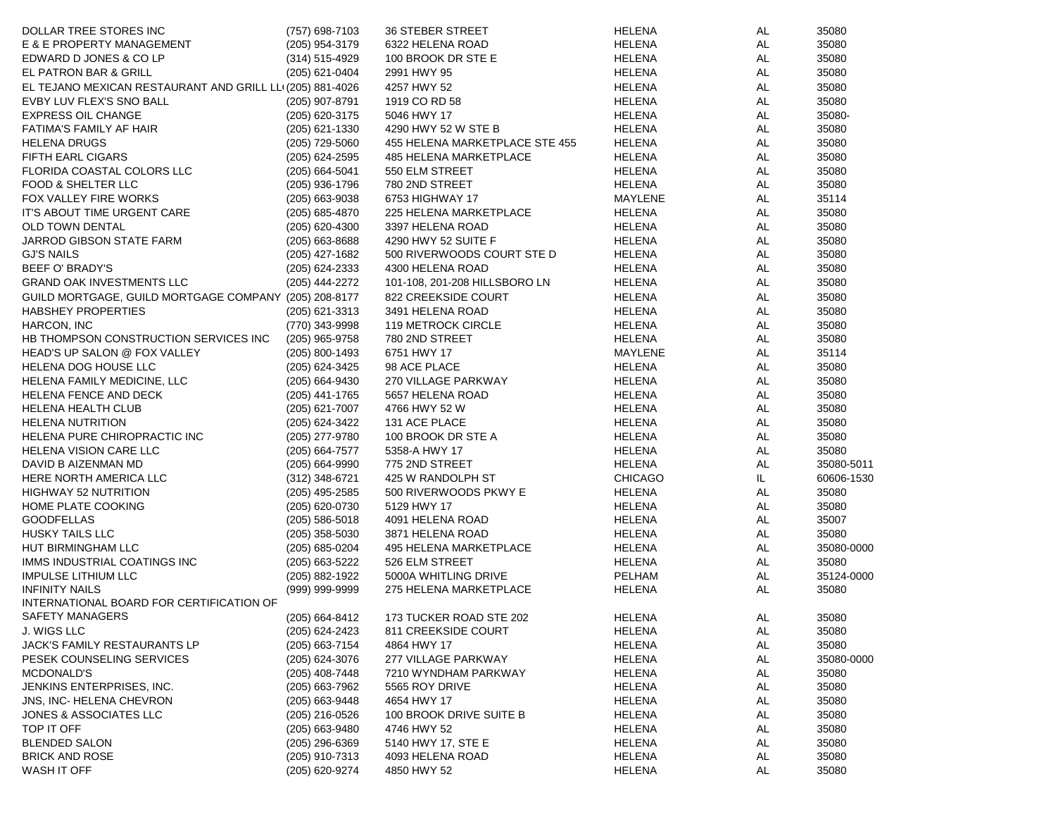| DOLLAR TREE STORES INC                                    | (757) 698-7103   | <b>36 STEBER STREET</b>        | <b>HELENA</b> | AL  | 35080      |
|-----------------------------------------------------------|------------------|--------------------------------|---------------|-----|------------|
| E & E PROPERTY MANAGEMENT                                 | (205) 954-3179   | 6322 HELENA ROAD               | HELENA        | AL  | 35080      |
| EDWARD D JONES & CO LP                                    | (314) 515-4929   | 100 BROOK DR STE E             | HELENA        | AL  | 35080      |
| EL PATRON BAR & GRILL                                     | (205) 621-0404   | 2991 HWY 95                    | HELENA        | AL  | 35080      |
| EL TEJANO MEXICAN RESTAURANT AND GRILL LLI (205) 881-4026 |                  | 4257 HWY 52                    | HELENA        | AL  | 35080      |
| EVBY LUV FLEX'S SNO BALL                                  | (205) 907-8791   | 1919 CO RD 58                  | HELENA        | AL  | 35080      |
| <b>EXPRESS OIL CHANGE</b>                                 | (205) 620-3175   | 5046 HWY 17                    | HELENA        | AL  | 35080-     |
| FATIMA'S FAMILY AF HAIR                                   | (205) 621-1330   | 4290 HWY 52 W STE B            | HELENA        | AL  | 35080      |
| <b>HELENA DRUGS</b>                                       | (205) 729-5060   | 455 HELENA MARKETPLACE STE 455 | HELENA        | AL  | 35080      |
| FIFTH EARL CIGARS                                         | (205) 624-2595   | 485 HELENA MARKETPLACE         | HELENA        | AL  | 35080      |
| FLORIDA COASTAL COLORS LLC                                | (205) 664-5041   | 550 ELM STREET                 | HELENA        | AL  | 35080      |
| FOOD & SHELTER LLC                                        | (205) 936-1796   | 780 2ND STREET                 | HELENA        | AL  | 35080      |
| FOX VALLEY FIRE WORKS                                     | $(205)$ 663-9038 | 6753 HIGHWAY 17                | MAYLENE       | AL  | 35114      |
| IT'S ABOUT TIME URGENT CARE                               | (205) 685-4870   | 225 HELENA MARKETPLACE         | HELENA        | AL  | 35080      |
| <b>OLD TOWN DENTAL</b>                                    | (205) 620-4300   | 3397 HELENA ROAD               | HELENA        | AL  | 35080      |
| JARROD GIBSON STATE FARM                                  | $(205)$ 663-8688 | 4290 HWY 52 SUITE F            | HELENA        | AL  | 35080      |
| <b>GJ'S NAILS</b>                                         | (205) 427-1682   | 500 RIVERWOODS COURT STE D     | HELENA        | AL  | 35080      |
| BEEF O' BRADY'S                                           | (205) 624-2333   | 4300 HELENA ROAD               | HELENA        | AL  | 35080      |
| GRAND OAK INVESTMENTS LLC                                 | (205) 444-2272   | 101-108, 201-208 HILLSBORO LN  | HELENA        | AL  | 35080      |
|                                                           |                  |                                |               |     |            |
| GUILD MORTGAGE, GUILD MORTGAGE COMPANY (205) 208-8177     |                  | 822 CREEKSIDE COURT            | HELENA        | AL  | 35080      |
| <b>HABSHEY PROPERTIES</b>                                 | (205) 621-3313   | 3491 HELENA ROAD               | HELENA        | AL  | 35080      |
| HARCON, INC                                               | (770) 343-9998   | 119 METROCK CIRCLE             | HELENA        | AL  | 35080      |
| HB THOMPSON CONSTRUCTION SERVICES INC                     | (205) 965-9758   | 780 2ND STREET                 | HELENA        | AL  | 35080      |
| HEAD'S UP SALON @ FOX VALLEY                              | (205) 800-1493   | 6751 HWY 17                    | MAYLENE       | AL  | 35114      |
| HELENA DOG HOUSE LLC                                      | (205) 624-3425   | 98 ACE PLACE                   | HELENA        | AL  | 35080      |
| HELENA FAMILY MEDICINE, LLC                               | (205) 664-9430   | 270 VILLAGE PARKWAY            | HELENA        | AL  | 35080      |
| HELENA FENCE AND DECK                                     | (205) 441-1765   | 5657 HELENA ROAD               | HELENA        | AL  | 35080      |
| HELENA HEALTH CLUB                                        | (205) 621-7007   | 4766 HWY 52 W                  | HELENA        | AL  | 35080      |
| <b>HELENA NUTRITION</b>                                   | (205) 624-3422   | 131 ACE PLACE                  | HELENA        | AL  | 35080      |
| HELENA PURE CHIROPRACTIC INC                              | (205) 277-9780   | 100 BROOK DR STE A             | HELENA        | AL  | 35080      |
| HELENA VISION CARE LLC                                    | (205) 664-7577   | 5358-A HWY 17                  | HELENA        | AL  | 35080      |
| DAVID B AIZENMAN MD                                       | (205) 664-9990   | 775 2ND STREET                 | <b>HELENA</b> | AL  | 35080-5011 |
| HERE NORTH AMERICA LLC                                    | (312) 348-6721   | 425 W RANDOLPH ST              | CHICAGO       | IL  | 60606-1530 |
| <b>HIGHWAY 52 NUTRITION</b>                               | (205) 495-2585   | 500 RIVERWOODS PKWY E          | HELENA        | AL  | 35080      |
| HOME PLATE COOKING                                        | (205) 620-0730   | 5129 HWY 17                    | HELENA        | AL  | 35080      |
| <b>GOODFELLAS</b>                                         | $(205)$ 586-5018 | 4091 HELENA ROAD               | HELENA        | AL  | 35007      |
| HUSKY TAILS LLC                                           | $(205)$ 358-5030 | 3871 HELENA ROAD               | HELENA        | AL  | 35080      |
| HUT BIRMINGHAM LLC                                        | (205) 685-0204   | 495 HELENA MARKETPLACE         | HELENA        | AL  | 35080-0000 |
| IMMS INDUSTRIAL COATINGS INC                              | (205) 663-5222   | 526 ELM STREET                 | HELENA        | AL  | 35080      |
| <b>IMPULSE LITHIUM LLC</b>                                | (205) 882-1922   | 5000A WHITLING DRIVE           | PELHAM        | AL  | 35124-0000 |
| <b>INFINITY NAILS</b>                                     | (999) 999-9999   | 275 HELENA MARKETPLACE         | <b>HELENA</b> | AL  | 35080      |
| INTERNATIONAL BOARD FOR CERTIFICATION OF                  |                  |                                |               |     |            |
| SAFETY MANAGERS                                           | (205) 664-8412   | 173 TUCKER ROAD STE 202        | <b>HELENA</b> | AL  | 35080      |
| J. WIGS LLC                                               | (205) 624-2423   | 811 CREEKSIDE COURT            | <b>HELENA</b> | AL  | 35080      |
| JACK'S FAMILY RESTAURANTS LP                              | (205) 663-7154   | 4864 HWY 17                    | <b>HELENA</b> | AL  | 35080      |
| PESEK COUNSELING SERVICES                                 | $(205)$ 624-3076 | 277 VILLAGE PARKWAY            | HELENA        | AL  | 35080-0000 |
| MCDONALD'S                                                | $(205)$ 408-7448 | 7210 WYNDHAM PARKWAY           | HELENA        | AL  | 35080      |
| JENKINS ENTERPRISES, INC.                                 | $(205)$ 663-7962 | 5565 ROY DRIVE                 | HELENA        | AL  | 35080      |
| JNS, INC-HELENA CHEVRON                                   | $(205)$ 663-9448 | 4654 HWY 17                    | HELENA        | AL. | 35080      |
| JONES & ASSOCIATES LLC                                    | $(205)$ 216-0526 | 100 BROOK DRIVE SUITE B        | HELENA        | AL  | 35080      |
| TOP IT OFF                                                | $(205)$ 663-9480 | 4746 HWY 52                    | HELENA        | AL  | 35080      |
| <b>BLENDED SALON</b>                                      | $(205)$ 296-6369 | 5140 HWY 17, STE E             | HELENA        | AL  | 35080      |
| <b>BRICK AND ROSE</b>                                     | (205) 910-7313   | 4093 HELENA ROAD               | HELENA        | AL  | 35080      |
| WASH IT OFF                                               | (205) 620-9274   | 4850 HWY 52                    | <b>HELENA</b> | AL  | 35080      |
|                                                           |                  |                                |               |     |            |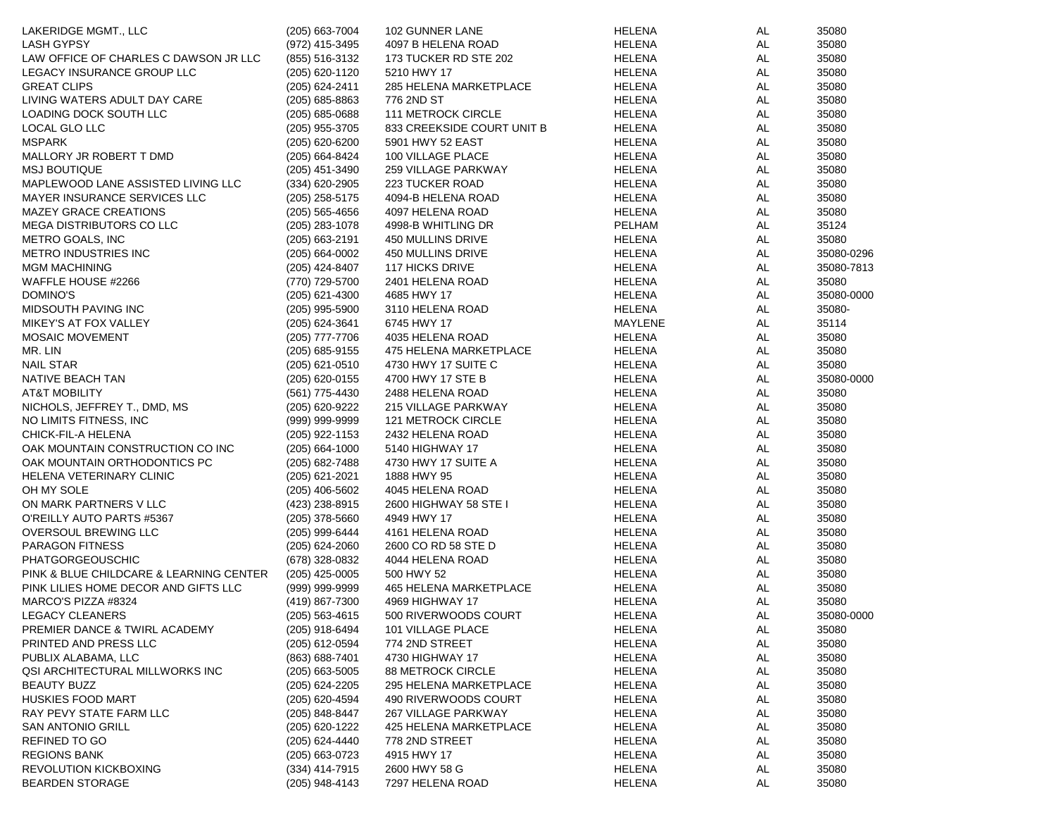| LAKERIDGE MGMT., LLC                    | $(205)$ 663-7004 | 102 GUNNER LANE            | <b>HELENA</b> | AL        | 35080      |
|-----------------------------------------|------------------|----------------------------|---------------|-----------|------------|
| <b>LASH GYPSY</b>                       | (972) 415-3495   | 4097 B HELENA ROAD         | <b>HELENA</b> | AL        | 35080      |
| LAW OFFICE OF CHARLES C DAWSON JR LLC   | (855) 516-3132   | 173 TUCKER RD STE 202      | HELENA        | AL        | 35080      |
| LEGACY INSURANCE GROUP LLC              | (205) 620-1120   | 5210 HWY 17                | HELENA        | AL        | 35080      |
| <b>GREAT CLIPS</b>                      | (205) 624-2411   | 285 HELENA MARKETPLACE     | <b>HELENA</b> | AL        | 35080      |
| LIVING WATERS ADULT DAY CARE            | $(205)$ 685-8863 | 776 2ND ST                 | HELENA        | AL        | 35080      |
| LOADING DOCK SOUTH LLC                  | $(205)$ 685-0688 | <b>111 METROCK CIRCLE</b>  | <b>HELENA</b> | AL        | 35080      |
| LOCAL GLO LLC                           | (205) 955-3705   | 833 CREEKSIDE COURT UNIT B | <b>HELENA</b> | AL        | 35080      |
| <b>MSPARK</b>                           | (205) 620-6200   | 5901 HWY 52 EAST           | HELENA        | AL        | 35080      |
| MALLORY JR ROBERT T DMD                 | (205) 664-8424   | 100 VILLAGE PLACE          | HELENA        | AL        | 35080      |
| <b>MSJ BOUTIQUE</b>                     | (205) 451-3490   | 259 VILLAGE PARKWAY        | <b>HELENA</b> | AL        | 35080      |
| MAPLEWOOD LANE ASSISTED LIVING LLC      | (334) 620-2905   | 223 TUCKER ROAD            | HELENA        | AL        | 35080      |
| MAYER INSURANCE SERVICES LLC            | (205) 258-5175   | 4094-B HELENA ROAD         | HELENA        | AL        | 35080      |
| <b>MAZEY GRACE CREATIONS</b>            | $(205)$ 565-4656 | 4097 HELENA ROAD           | HELENA        | AL        | 35080      |
| MEGA DISTRIBUTORS CO LLC                | $(205)$ 283-1078 | 4998-B WHITLING DR         | PELHAM        | AL        | 35124      |
| METRO GOALS, INC                        | $(205)$ 663-2191 | 450 MULLINS DRIVE          | HELENA        | AL        | 35080      |
| <b>METRO INDUSTRIES INC</b>             | $(205)$ 664-0002 | 450 MULLINS DRIVE          | HELENA        | <b>AL</b> | 35080-0296 |
| <b>MGM MACHINING</b>                    | (205) 424-8407   | <b>117 HICKS DRIVE</b>     | HELENA        | AL        | 35080-7813 |
| WAFFLE HOUSE #2266                      | (770) 729-5700   | 2401 HELENA ROAD           | HELENA        | AL        | 35080      |
| DOMINO'S                                | $(205)$ 621-4300 | 4685 HWY 17                | HELENA        | AL        | 35080-0000 |
|                                         |                  | 3110 HELENA ROAD           |               | AL        |            |
| MIDSOUTH PAVING INC                     | (205) 995-5900   |                            | HELENA        |           | 35080-     |
| MIKEY'S AT FOX VALLEY                   | (205) 624-3641   | 6745 HWY 17                | MAYLENE       | AL        | 35114      |
| <b>MOSAIC MOVEMENT</b>                  | (205) 777-7706   | 4035 HELENA ROAD           | HELENA        | AL        | 35080      |
| MR. LIN                                 | $(205)$ 685-9155 | 475 HELENA MARKETPLACE     | <b>HELENA</b> | AL        | 35080      |
| <b>NAIL STAR</b>                        | (205) 621-0510   | 4730 HWY 17 SUITE C        | HELENA        | AL        | 35080      |
| NATIVE BEACH TAN                        | (205) 620-0155   | 4700 HWY 17 STE B          | HELENA        | AL        | 35080-0000 |
| <b>AT&amp;T MOBILITY</b>                | (561) 775-4430   | 2488 HELENA ROAD           | HELENA        | AL        | 35080      |
| NICHOLS, JEFFREY T., DMD, MS            | (205) 620-9222   | 215 VILLAGE PARKWAY        | HELENA        | AL        | 35080      |
| NO LIMITS FITNESS, INC                  | (999) 999-9999   | 121 METROCK CIRCLE         | HELENA        | AL        | 35080      |
| CHICK-FIL-A HELENA                      | (205) 922-1153   | 2432 HELENA ROAD           | HELENA        | AL        | 35080      |
| OAK MOUNTAIN CONSTRUCTION CO INC        | $(205)$ 664-1000 | 5140 HIGHWAY 17            | HELENA        | AL        | 35080      |
| OAK MOUNTAIN ORTHODONTICS PC            | (205) 682-7488   | 4730 HWY 17 SUITE A        | <b>HELENA</b> | AL        | 35080      |
| HELENA VETERINARY CLINIC                | (205) 621-2021   | 1888 HWY 95                | HELENA        | AL        | 35080      |
| OH MY SOLE                              | $(205)$ 406-5602 | 4045 HELENA ROAD           | <b>HELENA</b> | AL        | 35080      |
| ON MARK PARTNERS V LLC                  | (423) 238-8915   | 2600 HIGHWAY 58 STE I      | HELENA        | AL        | 35080      |
| O'REILLY AUTO PARTS #5367               | (205) 378-5660   | 4949 HWY 17                | <b>HELENA</b> | AL        | 35080      |
| OVERSOUL BREWING LLC                    | (205) 999-6444   | 4161 HELENA ROAD           | HELENA        | AL        | 35080      |
| <b>PARAGON FITNESS</b>                  | $(205)$ 624-2060 | 2600 CO RD 58 STE D        | HELENA        | AL        | 35080      |
| <b>PHATGORGEOUSCHIC</b>                 | (678) 328-0832   | 4044 HELENA ROAD           | HELENA        | AL        | 35080      |
| PINK & BLUE CHILDCARE & LEARNING CENTER | (205) 425-0005   | 500 HWY 52                 | HELENA        | AL        | 35080      |
| PINK LILIES HOME DECOR AND GIFTS LLC    | (999) 999-9999   | 465 HELENA MARKETPLACE     | HELENA        | AL        | 35080      |
| MARCO'S PIZZA #8324                     | (419) 867-7300   | 4969 HIGHWAY 17            | <b>HELENA</b> | AL        | 35080      |
| <b>LEGACY CLEANERS</b>                  | (205) 563-4615   | 500 RIVERWOODS COURT       | <b>HELENA</b> | AL        | 35080-0000 |
| PREMIER DANCE & TWIRL ACADEMY           | (205) 918-6494   | 101 VILLAGE PLACE          | <b>HELENA</b> | AL        | 35080      |
| PRINTED AND PRESS LLC                   | (205) 612-0594   | 774 2ND STREET             | <b>HELENA</b> | AL        | 35080      |
| PUBLIX ALABAMA, LLC                     | (863) 688-7401   | 4730 HIGHWAY 17            | HELENA        | AL        | 35080      |
| QSI ARCHITECTURAL MILLWORKS INC         | $(205)$ 663-5005 | 88 METROCK CIRCLE          | HELENA        | AL.       | 35080      |
| <b>BEAUTY BUZZ</b>                      | (205) 624-2205   | 295 HELENA MARKETPLACE     | HELENA        | AL.       | 35080      |
| <b>HUSKIES FOOD MART</b>                | (205) 620-4594   | 490 RIVERWOODS COURT       | HELENA        | AL        | 35080      |
| RAY PEVY STATE FARM LLC                 | (205) 848-8447   | 267 VILLAGE PARKWAY        | HELENA        | AL.       | 35080      |
| <b>SAN ANTONIO GRILL</b>                | (205) 620-1222   | 425 HELENA MARKETPLACE     | <b>HELENA</b> | AL.       | 35080      |
| REFINED TO GO                           | (205) 624-4440   | 778 2ND STREET             | HELENA        | AL.       | 35080      |
| <b>REGIONS BANK</b>                     | $(205)$ 663-0723 | 4915 HWY 17                | HELENA        | AL        | 35080      |
| REVOLUTION KICKBOXING                   | $(334)$ 414-7915 | 2600 HWY 58 G              | HELENA        | AL        | 35080      |
| <b>BEARDEN STORAGE</b>                  | (205) 948-4143   | 7297 HELENA ROAD           | <b>HELENA</b> | AL        | 35080      |
|                                         |                  |                            |               |           |            |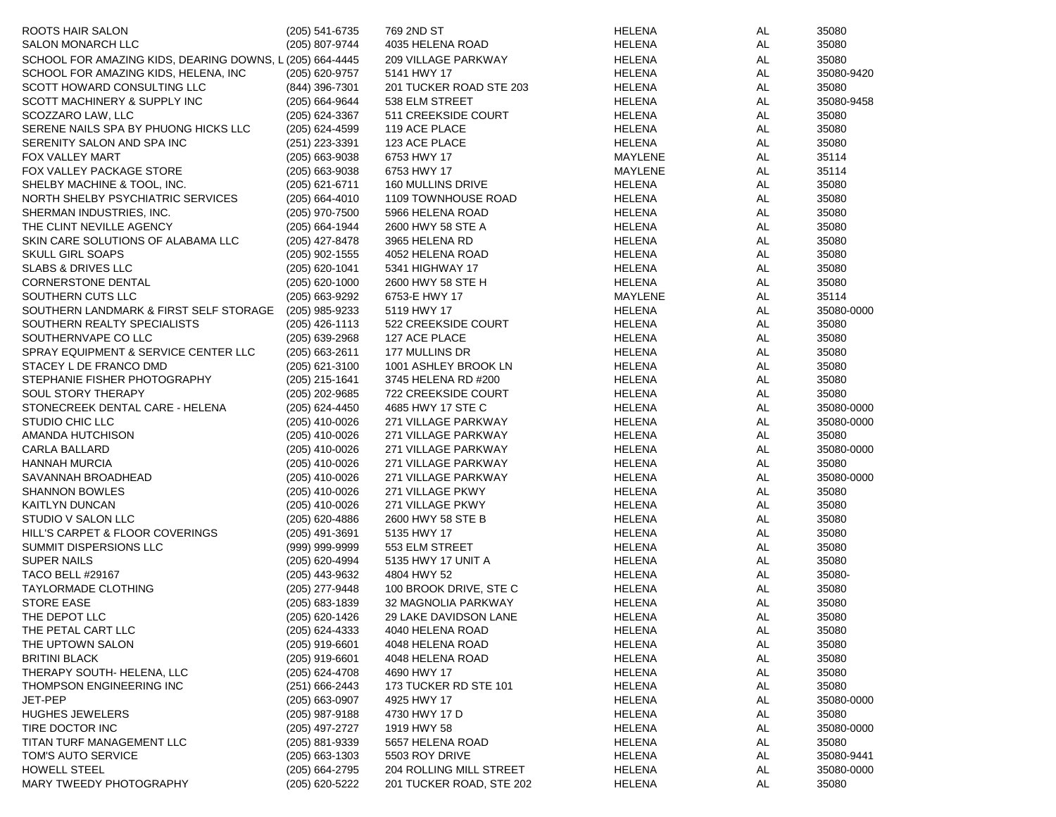| ROOTS HAIR SALON                                         | $(205)$ 541-6735 | 769 2ND ST                 | <b>HELENA</b> | AL.       | 35080      |
|----------------------------------------------------------|------------------|----------------------------|---------------|-----------|------------|
| <b>SALON MONARCH LLC</b>                                 | (205) 807-9744   | 4035 HELENA ROAD           | <b>HELENA</b> | AL.       | 35080      |
| SCHOOL FOR AMAZING KIDS, DEARING DOWNS, L (205) 664-4445 |                  | <b>209 VILLAGE PARKWAY</b> | HELENA        | AL        | 35080      |
| SCHOOL FOR AMAZING KIDS, HELENA, INC                     | (205) 620-9757   | 5141 HWY 17                | HELENA        | AL.       | 35080-9420 |
| SCOTT HOWARD CONSULTING LLC                              | (844) 396-7301   | 201 TUCKER ROAD STE 203    | HELENA        | AL        | 35080      |
| SCOTT MACHINERY & SUPPLY INC                             | (205) 664-9644   | 538 ELM STREET             | HELENA        | AL        | 35080-9458 |
| SCOZZARO LAW, LLC                                        | (205) 624-3367   | 511 CREEKSIDE COURT        | HELENA        | AL        | 35080      |
| SERENE NAILS SPA BY PHUONG HICKS LLC                     | (205) 624-4599   | 119 ACE PLACE              | HELENA        | AL        | 35080      |
| SERENITY SALON AND SPA INC                               | (251) 223-3391   | 123 ACE PLACE              | HELENA        | AL        | 35080      |
| <b>FOX VALLEY MART</b>                                   | (205) 663-9038   | 6753 HWY 17                | MAYLENE       | AL        | 35114      |
| FOX VALLEY PACKAGE STORE                                 | (205) 663-9038   | 6753 HWY 17                | MAYLENE       | AL.       | 35114      |
| SHELBY MACHINE & TOOL, INC.                              | (205) 621-6711   | 160 MULLINS DRIVE          | HELENA        | AL.       | 35080      |
| NORTH SHELBY PSYCHIATRIC SERVICES                        | (205) 664-4010   | 1109 TOWNHOUSE ROAD        | HELENA        | AL        | 35080      |
| SHERMAN INDUSTRIES, INC.                                 | (205) 970-7500   | 5966 HELENA ROAD           | HELENA        | AL        | 35080      |
| THE CLINT NEVILLE AGENCY                                 | (205) 664-1944   | 2600 HWY 58 STE A          | HELENA        | AL.       | 35080      |
| SKIN CARE SOLUTIONS OF ALABAMA LLC                       | (205) 427-8478   | 3965 HELENA RD             | HELENA        | AL.       | 35080      |
| <b>SKULL GIRL SOAPS</b>                                  | (205) 902-1555   | 4052 HELENA ROAD           | HELENA        | AL        | 35080      |
| <b>SLABS &amp; DRIVES LLC</b>                            | (205) 620-1041   | 5341 HIGHWAY 17            | HELENA        | AL        | 35080      |
| <b>CORNERSTONE DENTAL</b>                                | (205) 620-1000   | 2600 HWY 58 STE H          | HELENA        | AL        | 35080      |
| SOUTHERN CUTS LLC                                        | (205) 663-9292   | 6753-E HWY 17              | MAYLENE       | AL.       | 35114      |
| SOUTHERN LANDMARK & FIRST SELF STORAGE                   | (205) 985-9233   | 5119 HWY 17                | HELENA        | AL        | 35080-0000 |
| SOUTHERN REALTY SPECIALISTS                              | $(205)$ 426-1113 | 522 CREEKSIDE COURT        | HELENA        | AL        | 35080      |
| SOUTHERNVAPE CO LLC                                      | (205) 639-2968   | 127 ACE PLACE              | HELENA        | AL.       | 35080      |
| SPRAY EQUIPMENT & SERVICE CENTER LLC                     | (205) 663-2611   | 177 MULLINS DR             | HELENA        | AL        | 35080      |
| STACEY L DE FRANCO DMD                                   | $(205)$ 621-3100 | 1001 ASHLEY BROOK LN       | <b>HELENA</b> | AL        | 35080      |
| STEPHANIE FISHER PHOTOGRAPHY                             | (205) 215-1641   | 3745 HELENA RD #200        | <b>HELENA</b> | AL        | 35080      |
| <b>SOUL STORY THERAPY</b>                                | (205) 202-9685   | 722 CREEKSIDE COURT        |               | AL.       | 35080      |
| STONECREEK DENTAL CARE - HELENA                          |                  |                            | HELENA        |           |            |
|                                                          | (205) 624-4450   | 4685 HWY 17 STE C          | HELENA        | AL<br>AL  | 35080-0000 |
| STUDIO CHIC LLC                                          | (205) 410-0026   | 271 VILLAGE PARKWAY        | HELENA        |           | 35080-0000 |
| AMANDA HUTCHISON                                         | (205) 410-0026   | 271 VILLAGE PARKWAY        | HELENA        | AL        | 35080      |
| CARLA BALLARD                                            | (205) 410-0026   | 271 VILLAGE PARKWAY        | HELENA        | AL.<br>AL | 35080-0000 |
| <b>HANNAH MURCIA</b>                                     | (205) 410-0026   | 271 VILLAGE PARKWAY        | HELENA        |           | 35080      |
| SAVANNAH BROADHEAD                                       | (205) 410-0026   | 271 VILLAGE PARKWAY        | HELENA        | AL        | 35080-0000 |
| <b>SHANNON BOWLES</b>                                    | (205) 410-0026   | 271 VILLAGE PKWY           | HELENA        | AL        | 35080      |
| KAITLYN DUNCAN                                           | (205) 410-0026   | 271 VILLAGE PKWY           | HELENA        | AL        | 35080      |
| STUDIO V SALON LLC                                       | (205) 620-4886   | 2600 HWY 58 STE B          | HELENA        | AL        | 35080      |
| HILL'S CARPET & FLOOR COVERINGS                          | (205) 491-3691   | 5135 HWY 17                | HELENA        | AL        | 35080      |
| SUMMIT DISPERSIONS LLC                                   | (999) 999-9999   | 553 ELM STREET             | HELENA        | AL.       | 35080      |
| <b>SUPER NAILS</b>                                       | (205) 620-4994   | 5135 HWY 17 UNIT A         | HELENA        | AL.       | 35080      |
| <b>TACO BELL #29167</b>                                  | (205) 443-9632   | 4804 HWY 52                | HELENA        | AL        | 35080-     |
| <b>TAYLORMADE CLOTHING</b>                               | (205) 277-9448   | 100 BROOK DRIVE, STE C     | <b>HELENA</b> | AL.       | 35080      |
| <b>STORE EASE</b>                                        | (205) 683-1839   | 32 MAGNOLIA PARKWAY        | <b>HELENA</b> | AL.       | 35080      |
| THE DEPOT LLC                                            | (205) 620-1426   | 29 LAKE DAVIDSON LANE      | HELENA        | <b>AL</b> | 35080      |
| THE PETAL CART LLC                                       | (205) 624-4333   | 4040 HELENA ROAD           | <b>HELENA</b> | <b>AL</b> | 35080      |
| THE UPTOWN SALON                                         | (205) 919-6601   | 4048 HELENA ROAD           | <b>HELENA</b> | AL        | 35080      |
| <b>BRITINI BLACK</b>                                     | $(205)$ 919-6601 | 4048 HELENA ROAD           | <b>HELENA</b> | AL        | 35080      |
| THERAPY SOUTH- HELENA, LLC                               | $(205)$ 624-4708 | 4690 HWY 17                | HELENA        | AL        | 35080      |
| THOMPSON ENGINEERING INC                                 | $(251)$ 666-2443 | 173 TUCKER RD STE 101      | <b>HELENA</b> | <b>AL</b> | 35080      |
| JET-PEP                                                  | $(205)$ 663-0907 | 4925 HWY 17                | <b>HELENA</b> | <b>AL</b> | 35080-0000 |
| <b>HUGHES JEWELERS</b>                                   | (205) 987-9188   | 4730 HWY 17 D              | <b>HELENA</b> | AL        | 35080      |
| TIRE DOCTOR INC                                          | (205) 497-2727   | 1919 HWY 58                | HELENA        | AL        | 35080-0000 |
| TITAN TURF MANAGEMENT LLC                                | (205) 881-9339   | 5657 HELENA ROAD           | HELENA        | <b>AL</b> | 35080      |
| TOM'S AUTO SERVICE                                       | $(205)$ 663-1303 | 5503 ROY DRIVE             | HELENA        | AL        | 35080-9441 |
| HOWELL STEEL                                             | (205) 664-2795   | 204 ROLLING MILL STREET    | HELENA        | AL        | 35080-0000 |
| MARY TWEEDY PHOTOGRAPHY                                  | (205) 620-5222   | 201 TUCKER ROAD, STE 202   | <b>HELENA</b> | AL        | 35080      |